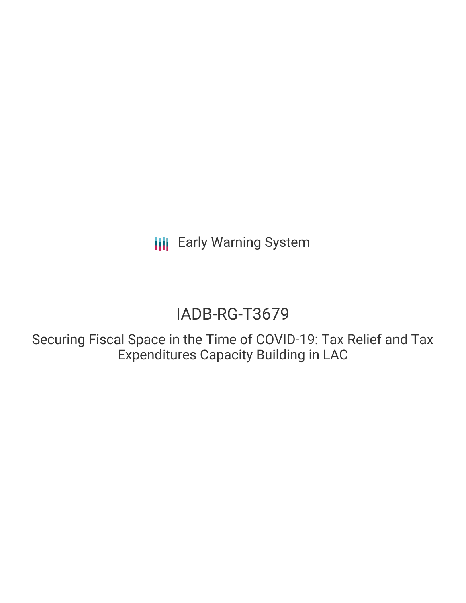**III** Early Warning System

# IADB-RG-T3679

Securing Fiscal Space in the Time of COVID-19: Tax Relief and Tax Expenditures Capacity Building in LAC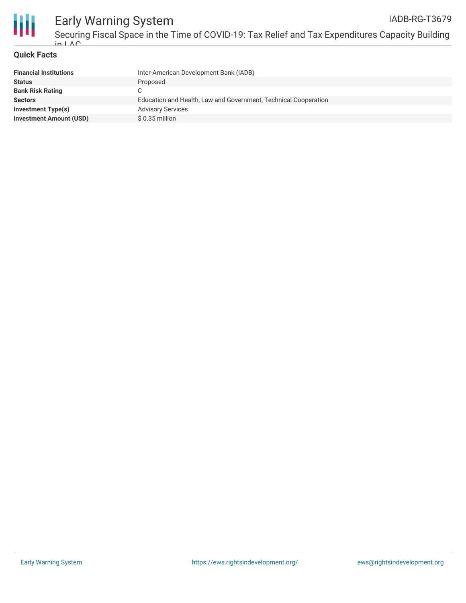

#### **Quick Facts**

| <b>Financial Institutions</b>  | Inter-American Development Bank (IADB)                          |
|--------------------------------|-----------------------------------------------------------------|
| <b>Status</b>                  | Proposed                                                        |
| <b>Bank Risk Rating</b>        |                                                                 |
| <b>Sectors</b>                 | Education and Health, Law and Government, Technical Cooperation |
| Investment Type(s)             | <b>Advisory Services</b>                                        |
| <b>Investment Amount (USD)</b> | $$0.35$ million                                                 |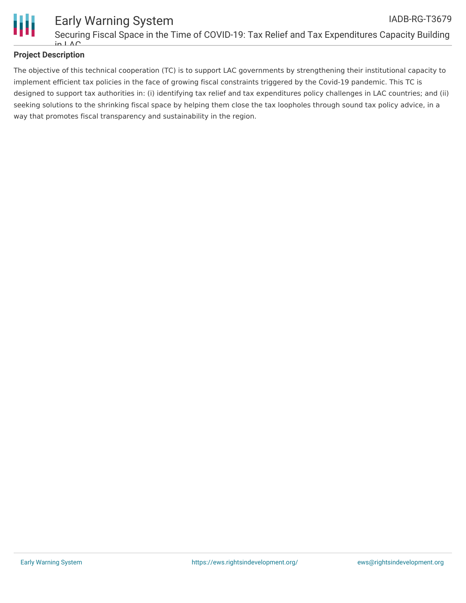

### **Project Description**

The objective of this technical cooperation (TC) is to support LAC governments by strengthening their institutional capacity to implement efficient tax policies in the face of growing fiscal constraints triggered by the Covid-19 pandemic. This TC is designed to support tax authorities in: (i) identifying tax relief and tax expenditures policy challenges in LAC countries; and (ii) seeking solutions to the shrinking fiscal space by helping them close the tax loopholes through sound tax policy advice, in a way that promotes fiscal transparency and sustainability in the region.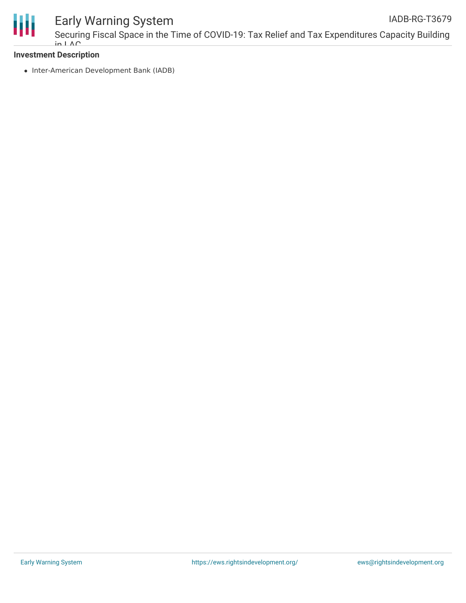

## Early Warning System

Securing Fiscal Space in the Time of COVID-19: Tax Relief and Tax Expenditures Capacity Building  $in I \wedge C$ IADB-RG-T3679

#### **Investment Description**

• Inter-American Development Bank (IADB)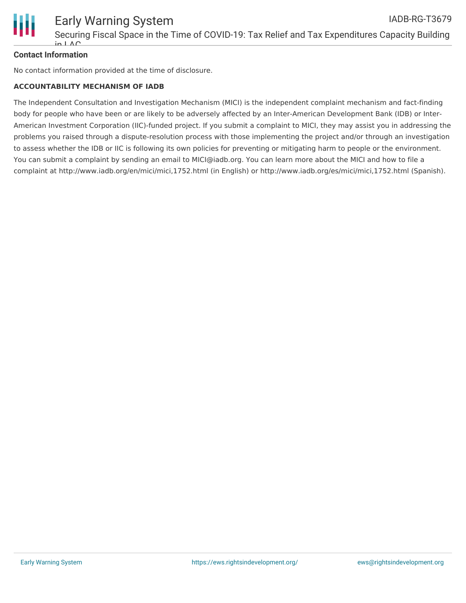

### **Contact Information**

No contact information provided at the time of disclosure.

#### **ACCOUNTABILITY MECHANISM OF IADB**

The Independent Consultation and Investigation Mechanism (MICI) is the independent complaint mechanism and fact-finding body for people who have been or are likely to be adversely affected by an Inter-American Development Bank (IDB) or Inter-American Investment Corporation (IIC)-funded project. If you submit a complaint to MICI, they may assist you in addressing the problems you raised through a dispute-resolution process with those implementing the project and/or through an investigation to assess whether the IDB or IIC is following its own policies for preventing or mitigating harm to people or the environment. You can submit a complaint by sending an email to MICI@iadb.org. You can learn more about the MICI and how to file a complaint at http://www.iadb.org/en/mici/mici,1752.html (in English) or http://www.iadb.org/es/mici/mici,1752.html (Spanish).